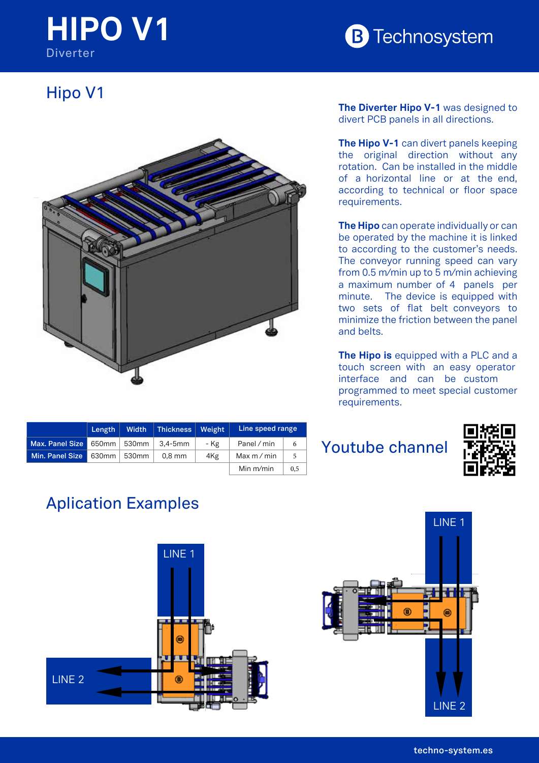## **HIPO V1 Diverter**



## Hipo V1



| The Diverter Hipo V-1 was designed to |  |
|---------------------------------------|--|
| divert PCB panels in all directions.  |  |

**The Hipo V-1** can divert panels keeping the original direction without any rotation. Can be installed in the middle of a horizontal line or at the end, according to technical or floor space requirements.

The Hipo can operate individually of can<br>be operated by the machine it is linked elts. In a component de la component de la component de la component de la component de la component de la com **The Hipo** can operate individually or can to according to the customer's needs. The conveyor running speed can vary from 0.5 m/min up to 5 m/min achieving a maximum number of 4 panels per minute. The device is equipped with two sets of flat belt conveyors to minimize the friction between the panel and belts.

**d** with a PLC and a **PRECISE: PROPERTIES PROPERTIES The Hipo is** equipped with a PLC and a merrace and carried custom<br>programmed to meet special customer requirements. interface and can be custom 1 2 3 5

|                 | Length $ $       | Width | Thickness   Weight |      | Line speed range |     |
|-----------------|------------------|-------|--------------------|------|------------------|-----|
| Max. Panel Size | 650mm   530mm    |       | 3.4-5mm            | - Kg | Panel / min      | 6   |
| Min. Panel Size | $630$ mm   530mm |       | $0.8$ mm           | 4Kg  | Max $m/m$ in     | 5   |
|                 |                  |       |                    |      | Min $m/min$      | 0,5 |

Youtube channel



## Aplication Examples

**PROPIEDAD-CONFIDENCIALIDAD**

**TOLERANCIA GENERAL**

**TOLERANCIA GENERAL** ESTÁN EXPRESADAS EN mm COSA TODAS LAS MEDIDAS SI NO SE ESPECIFICA OTRA